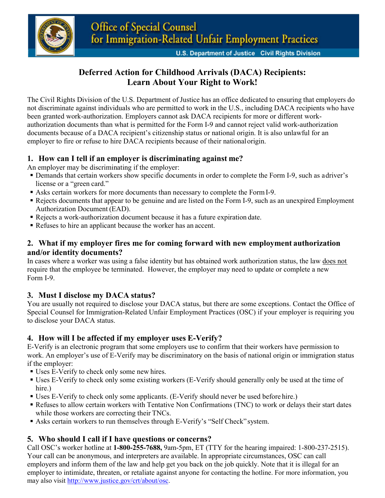

# **Deferred Action for Childhood Arrivals (DACA) Recipients: Learn About Your Right to Work!**

The Civil Rights Division of the U.S. Department of Justice has an office dedicated to ensuring that employers do not discriminate against individuals who are permitted to work in the U.S., including DACA recipients who have been granted work-authorization. Employers cannot ask DACA recipients for more or different workauthorization documents than what is permitted for the Form I-9 and cannot reject valid work-authorization documents because of a DACA recipient's citizenship status or national origin. It is also unlawful for an employer to fire or refuse to hire DACA recipients because of their nationalorigin.

### **1. How can I tell if an employer is discriminating against me?**

An employer may be discriminating if the employer:

- Demands that certain workers show specific documents in order to complete the Form I-9, such as adriver's license or a "green card."
- Asks certain workers for more documents than necessary to complete the FormI-9.
- Rejects documents that appear to be genuine and are listed on the Form I-9, such as an unexpired Employment Authorization Document (EAD).
- Rejects a work-authorization document because it has a future expiration date.
- Refuses to hire an applicant because the worker has an accent.

#### **2. What if my employer fires me for coming forward with new employment authorization and/or identity documents?**

In cases where a worker was using a false identity but has obtained work authorization status, the law does not require that the employee be terminated. However, the employer may need to update or complete a new Form I-9.

#### **3. Must I disclose my DACA status?**

You are usually not required to disclose your DACA status, but there are some exceptions. Contact the Office of Special Counsel for Immigration-Related Unfair Employment Practices (OSC) if your employer is requiring you to disclose your DACA status.

#### **4. How will I be affected if my employer uses E-Verify?**

E-Verify is an electronic program that some employers use to confirm that their workers have permission to work. An employer's use of E-Verify may be discriminatory on the basis of national origin or immigration status if the employer:

- Uses E-Verify to check only some new hires.
- Uses E-Verify to check only some existing workers (E-Verify should generally only be used at the time of hire.)
- Uses E-Verify to check only some applicants. (E-Verify should never be used before hire.)
- Refuses to allow certain workers with Tentative Non Confirmations (TNC) to work or delays their start dates while those workers are correcting their TNCs.
- Asks certain workers to run themselves through E-Verify's "Self Check" system.

## **5. Who should I call if I have questions or concerns?**

Call OSC's worker hotline at **1-800-255-7688,** 9am-5pm, ET (TTY for the hearing impaired: 1-800-237-2515). Your call can be anonymous, and interpreters are available. In appropriate circumstances, OSC can call employers and inform them of the law and help get you back on the job quickly. Note that it is illegal for an employer to intimidate, threaten, or retaliate against anyone for contacting the hotline. For more information, you may also visit [http://www.justice.gov/crt/about/osc.](http://www.justice.gov/crt/about/osc)